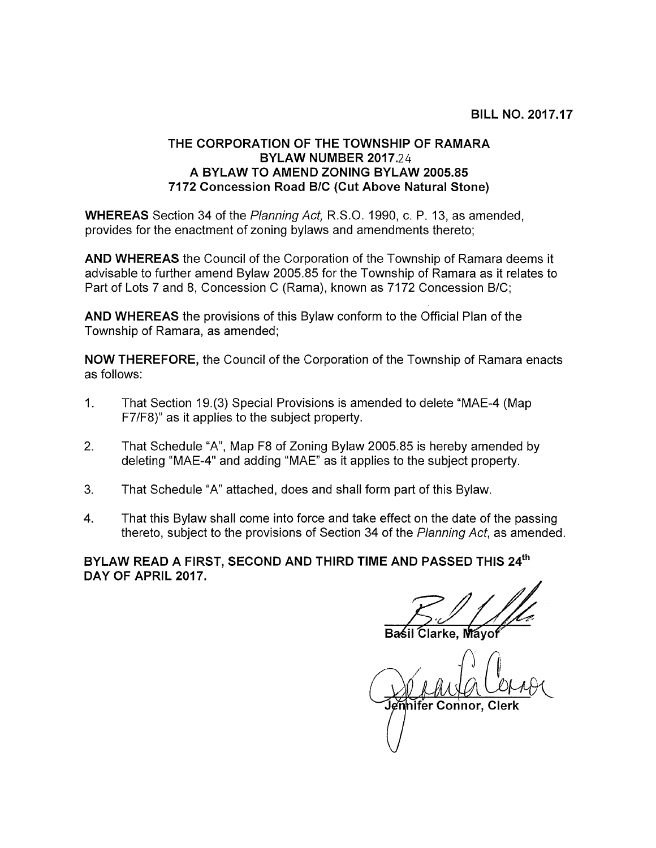## THE CORPORATION OF THE TOWNSHIP OF RAMARA BYLAW NUMBER 2017.24 A BYLAW TO AMEND ZONING BYLAW 2005.85 7172 Concession Road B/C (Cut Above Natural Stone)

WHEREAS Section 34 of the Planning Act, R.S.O. 1990, c. P. 13, as amended, provides for the enactment of zoning bylaws and amendments thereto;

AND WHEREAS the Council of the Corporation of the Township of Ramara deems it advisable to further amend Bylaw 2005.85 for the Township of Ramara as it relates to Part of Lots 7 and 8, Concession C (Rama), known as 7172 Concession B/C;

AND WHEREAS the provisions of this Bylaw conform to the Official Plan of the Township of Ramara, as amended;

NOW THEREFORE, the Council of the Corporation of the Township of Ramara enacts as follows:

- 1. That Section 19.(3) Special Provisions is amended to delete "MAE-4 (Map F7/F8)" as it applies to the subject property.
- 2. That Schedule "A", Map F8 of Zoning Bylaw 2005.85 is hereby amended by deleting "MAE-4" and adding "MAE" as it applies to the subject property.
- 3. That Schedule "A" attached, does and shall form part of this Bylaw.
- 4. That this Bylaw shall come into force and take effect on the date of the passing thereto, subject to the provisions of Section 34 of the Planning Act, as amended.

BYLAW READ A FIRST, SECOND AND THIRD TIME AND PASSED THIS 24th DAY OF APRIL 2017.

larke. Mávol

nifer Connor. Clerk